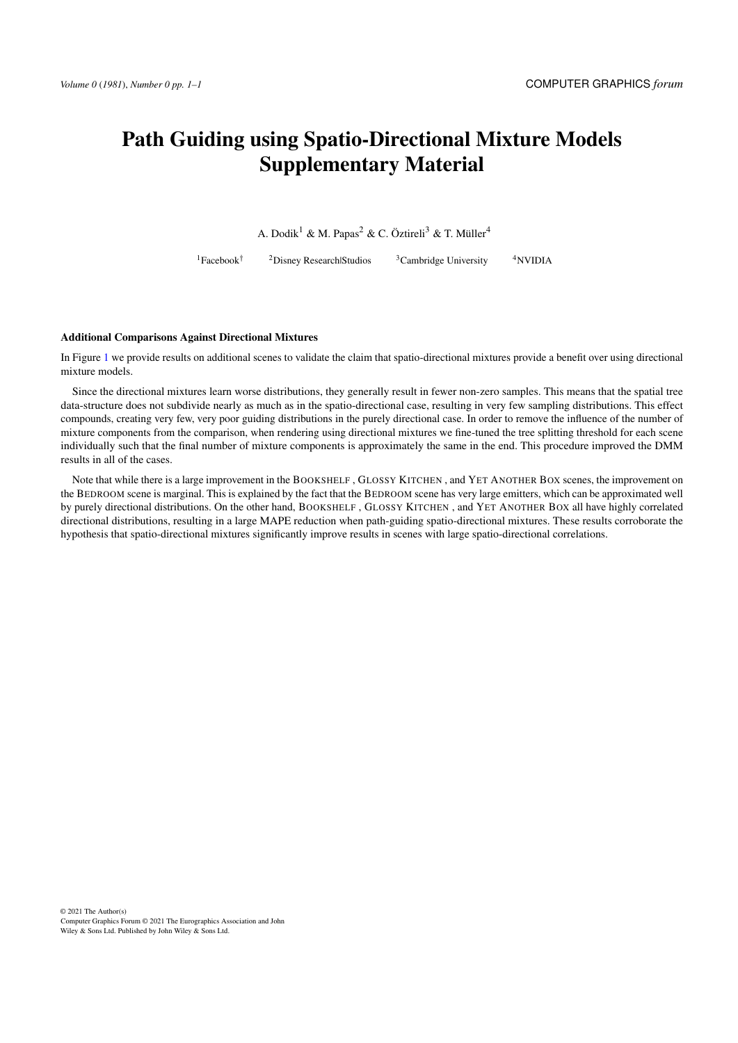## Path Guiding using Spatio-Directional Mixture Models Supplementary Material

A. Dodik<sup>1</sup> & M. Papas<sup>2</sup> & C. Öztireli<sup>3</sup> & T. Müller<sup>4</sup>

 $1$ Facebook<sup>†</sup> <sup>2</sup>Disney Research|Studios  $3$ Cambridge University  $4$ NVIDIA

## Additional Comparisons Against Directional Mixtures

In Figure [1](#page-1-0) we provide results on additional scenes to validate the claim that spatio-directional mixtures provide a benefit over using directional mixture models.

Since the directional mixtures learn worse distributions, they generally result in fewer non-zero samples. This means that the spatial tree data-structure does not subdivide nearly as much as in the spatio-directional case, resulting in very few sampling distributions. This effect compounds, creating very few, very poor guiding distributions in the purely directional case. In order to remove the influence of the number of mixture components from the comparison, when rendering using directional mixtures we fine-tuned the tree splitting threshold for each scene individually such that the final number of mixture components is approximately the same in the end. This procedure improved the DMM results in all of the cases.

Note that while there is a large improvement in the BOOKSHELF , GLOSSY KITCHEN , and YET ANOTHER BOX scenes, the improvement on the BEDROOM scene is marginal. This is explained by the fact that the BEDROOM scene has very large emitters, which can be approximated well by purely directional distributions. On the other hand, BOOKSHELF , GLOSSY KITCHEN , and YET ANOTHER BOX all have highly correlated directional distributions, resulting in a large MAPE reduction when path-guiding spatio-directional mixtures. These results corroborate the hypothesis that spatio-directional mixtures significantly improve results in scenes with large spatio-directional correlations.

© 2021 The Author(s) Computer Graphics Forum © 2021 The Eurographics Association and John Wiley & Sons Ltd. Published by John Wiley & Sons Ltd.